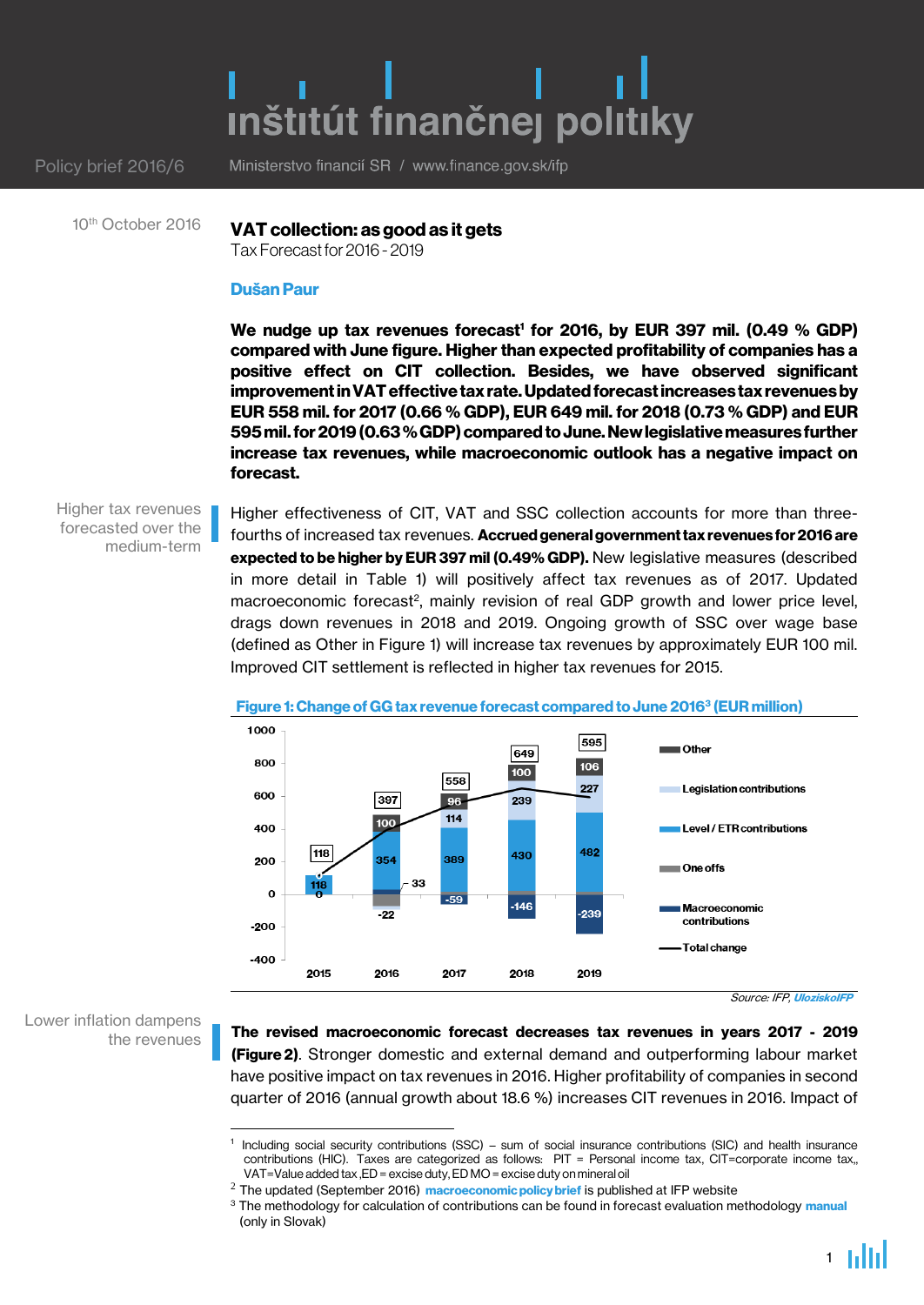# inštitút finančnej politiky

Policy brief 2016/6

Ministerstvo financií SR / www.finance.gov.sk/ifp

10<sup>th</sup> October 2016

VAT collection: as good as it gets

Tax Forecast for 2016 - 2019

## Dušan Paur

We nudge up tax revenues forecast' for 2016, by EUR 397 mil. (0.49 % GDP) compared with June figure. Higher than expected profitability of companies has a positive effect on CIT collection. Besides, we have observed significant improvement in VAT effective tax rate. Updated forecastincreases tax revenues by EUR 558 mil. for 2017 (0.66 % GDP), EUR 649 mil. for 2018 (0.73 % GDP) and EUR 595mil. for2019(0.63 % GDP) compared to June. New legislative measures further increase tax revenues, while macroeconomic outlook has a negative impact on forecast.

Higher tax revenues forecasted over the medium-term

Higher effectiveness of CIT, VAT and SSC collection accounts for more than threefourths of increased tax revenues. Accrued general government tax revenues for 2016 are expected to be higher by EUR 397 mil (0.49% GDP). New legislative measures (described in more detail in Table 1) will positively affect tax revenues as of 2017. Updated macroeconomic forecast<sup>2</sup>, mainly revision of real GDP growth and lower price level, drags down revenues in 2018 and 2019. Ongoing growth of SSC over wage base (defined as Other in Figure 1) will increase tax revenues by approximately EUR 100 mil. Improved CIT settlement is reflected in higher tax revenues for 2015.



## Figure 1: Change of GG tax revenue forecast compared to June 2016<sup>3</sup> (EUR million)

Source: IFP, [UloziskoIFP](http://ulozisko.institutfinancnejpolitiky.sk/?file=VpDP%252FVpDP_tables_Sep2016.xlsx)

Lower inflation dampens the revenues

1

The revised macroeconomic forecast decreases tax revenues in years 2017 - 2019 **(Figure 2).** Stronger domestic and external demand and outperforming labour market have positive impact on tax revenues in 2016. Higher profitability of companies in second quarter of 2016 (annual growth about 18.6 %) increases CIT revenues in 2016. Impact of

<sup>1</sup> Including social security contributions (SSC) – sum of social insurance contributions (SIC) and health insurance contributions (HIC). Taxes are categorized as follows: PIT = Personal income tax, CIT=corporate income tax,, VAT=Value added tax ,ED = excise duty, ED MO = excise duty on mineral oil

 $^2$  The updated (September 2016) [macroeconomic policy brief](http://www.finance.gov.sk/en/Default.aspx?CatID=733) is published at IFP website

<sup>&</sup>lt;sup>3</sup> The methodology for calculation of contributions can be found in forecast evaluation methodology [manual](http://www.finance.gov.sk/Default.aspx?CatID=8958) (only in Slovak)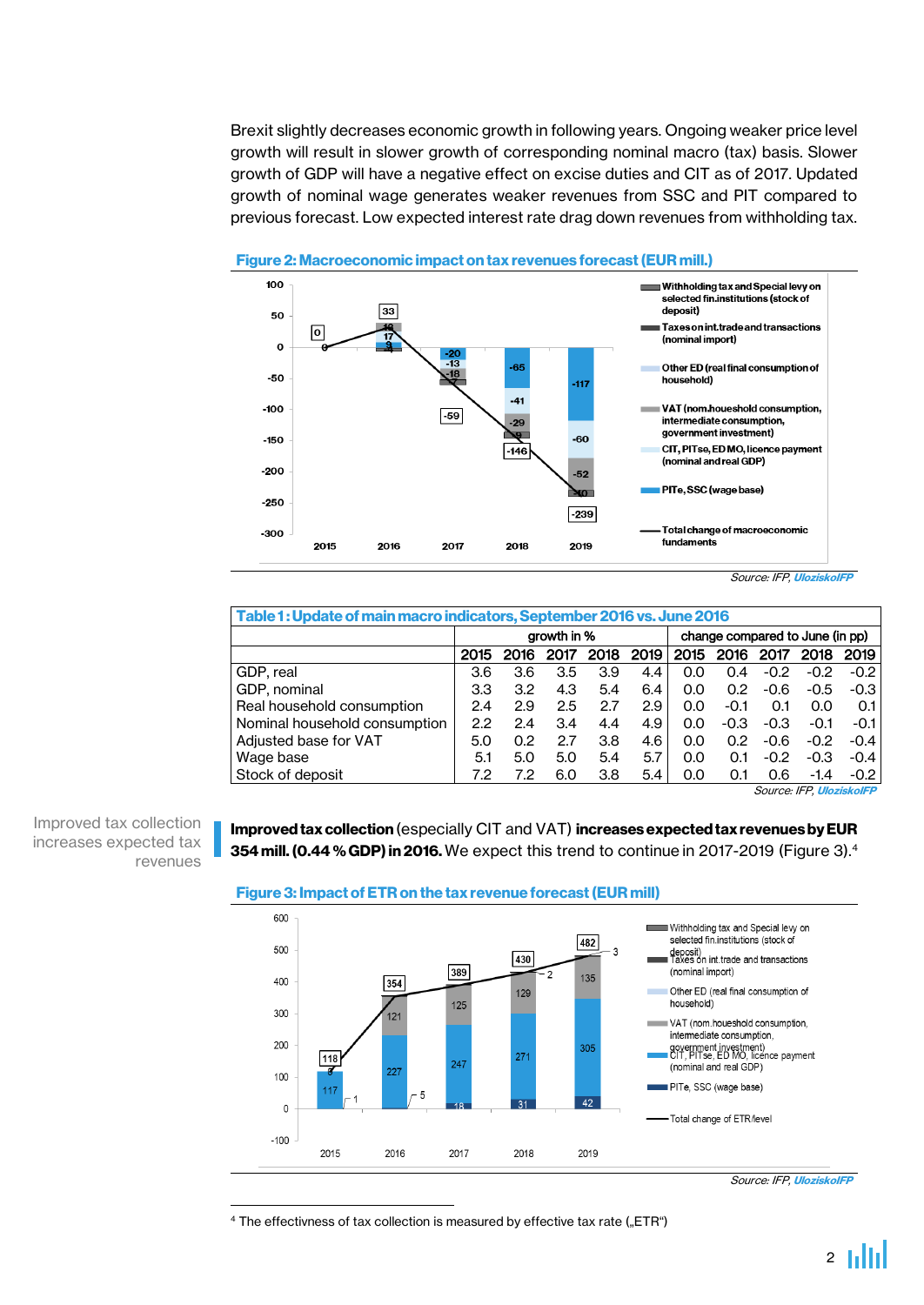Brexit slightly decreases economic growth in following years. Ongoing weaker price level growth will result in slower growth of corresponding nominal macro (tax) basis. Slower growth of GDP will have a negative effect on excise duties and CIT as of 2017. Updated growth of nominal wage generates weaker revenues from SSC and PIT compared to previous forecast. Low expected interest rate drag down revenues from withholding tax.



#### Figure 2: Macroeconomic impact on tax revenues forecast (EUR mill.)

Source: IFP, [UloziskoIFP](http://ulozisko.institutfinancnejpolitiky.sk/?file=VpDP%252FVpDP_tables_Sep2016.xlsx)

| Table 1: Update of main macro indicators, September 2016 vs. June 2016 |             |      |      |      |      |                                 |        |        |        |        |
|------------------------------------------------------------------------|-------------|------|------|------|------|---------------------------------|--------|--------|--------|--------|
|                                                                        | growth in % |      |      |      |      | change compared to June (in pp) |        |        |        |        |
|                                                                        | 2015        | 2016 | 2017 | 2018 | 2019 | 2015                            | 2016   | 2017   | 2018   | 2019   |
| GDP, real                                                              | 3.6         | 3.6  | 3.5  | 3.9  | 4.4  | 0.O                             | 0.4    | $-0.2$ | $-0.2$ | $-0.2$ |
| GDP, nominal                                                           | 3.3         | 3.2  | 4.3  | 5.4  | 6.4  | 0.0                             | 0.2    | $-0.6$ | $-0.5$ | $-0.3$ |
| Real household consumption                                             | 2.4         | 2.9  | 2.5  | 2.7  | 2.9  | 0.0                             | $-0.1$ | 0.1    | 0.0    | 0.1    |
| Nominal household consumption                                          | 2.2         | 2.4  | 3.4  | 4.4  | 4.9  | 0.0                             | $-0.3$ | $-0.3$ | $-0.1$ | -0.1 l |
| Adjusted base for VAT                                                  | 5.0         | 0.2  | 2.7  | 3.8  | 4.6  | 0.0                             | 0.2    | $-0.6$ | $-0.2$ | $-0.4$ |
| Wage base                                                              | 5.1         | 5.0  | 5.0  | 5.4  | 5.7  | 0.0                             | 0.1    | $-0.2$ | $-0.3$ | $-0.4$ |
| Stock of deposit                                                       | 7.2         | 7.2  | 6.0  | 3.8  | 5.4  | 0.0                             | 0.1    | 0.6    | $-1.4$ | $-0.2$ |

Source: IFP, [UloziskoIFP](http://ulozisko.institutfinancnejpolitiky.sk/?file=VpDP%252FVpDP_tables_Sep2016.xlsx)

Improved tax collection increases expected tax revenues

1

# Improved tax collection (especially CIT and VAT) increases expected tax revenues by EUR 354 mill. (0.44 % GDP) in 2016. We expect this trend to continue in 2017-2019 (Figure 3). $4$





<sup>4</sup> The effectivness of tax collection is measured by effective tax rate ("ETR")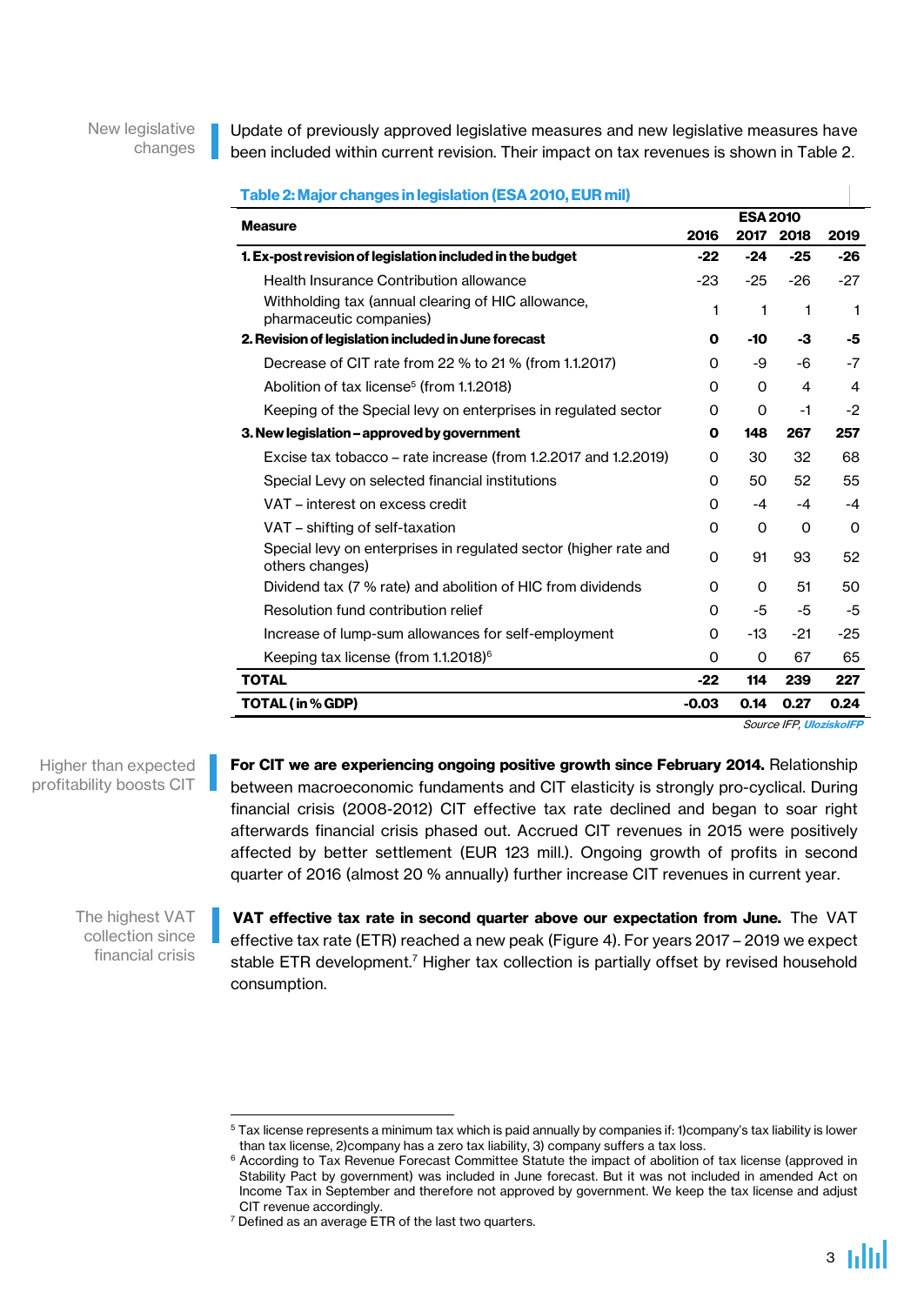New legislative changes Update of previously approved legislative measures and new legislative measures have been included within current revision. Their impact on tax revenues is shown in Table 2.

Table 2: Major changes in legislation (ESA 2010, EUR mil) ESA 2010<br>Measure المستخدم المستخدم المستخدم المستخدم المستخدم المستخدم المستخدم المستخدم المستخدم المستخدم المستخدم الم<br>مصطحح المستخدم المستخدم المستخدم المستخدم المستخدم المستخدم المستخدم المستخدم المستخدم المستخدم المست 2016 2017 2018 2019 1. Ex-post revision of legislation included in the budget -22 -24 -25 -26 Health Insurance Contribution allowance  $\frac{23}{2}$  -23 -25 -26 -27 Withholding tax (annual clearing of HIC allowance, with notating tax (annual clearing of the allowance,<br>pharmaceutic companies)  $1 \t 1 \t 1$ 2. Revision of legislation included in June forecast 0 -10 -3 -5 Decrease of CIT rate from 22 % to 21 % (from 1.1.2017) 0 -9 -6 -7 Abolition of tax license<sup>5</sup> (from 1.1.2018) 0 0 4 4 Keeping of the Special levy on enterprises in regulated sector  $\qquad 0 \qquad 0 \qquad 1 \qquad -2$ 3. New legislation – approved by government 0 148 267 257 Excise tax tobacco – rate increase (from 1.2.2017 and 1.2.2019)  $\qquad 0 \qquad 30 \qquad 32 \qquad 68$ Special Levy on selected financial institutions  $0$  50 52 55 VAT – interest on excess credit  $0$  -4 -4 -4 VAT – shifting of self-taxation and the control of the control of the control of the control of the control of the control of the control of the control of the control of the control of the control of the control of the co Special levy on enterprises in regulated sector (higher rate and 91 93 52<br>others changes) Dividend tax (7 % rate) and abolition of HIC from dividends  $0$  0 51 50 Resolution fund contribution relief  $0$  -5 -5 -5 Increase of lump-sum allowances for self-employment 0 -13 -21 -25 Keeping tax license (from 1.1.2018)<sup>6</sup> 0 0 0 67 65 TOTAL -22 114 239 227 TOTAL (in % GDP) -0.03 0.14 0.27 0.24

Source IFP, [UloziskoIFP](http://ulozisko.institutfinancnejpolitiky.sk/?file=VpDP%252FVpDP_tables_Sep2016.xlsx)

For CIT we are experiencing ongoing positive growth since February 2014. Relationship between macroeconomic fundaments and CIT elasticity is strongly pro-cyclical. During financial crisis (2008-2012) CIT effective tax rate declined and began to soar right afterwards financial crisis phased out. Accrued CIT revenues in 2015 were positively affected by better settlement (EUR 123 mill.). Ongoing growth of profits in second quarter of 2016 (almost 20 % annually) further increase CIT revenues in current year.

The highest VAT collection since financial crisis

Higher than expected profitability boosts CIT

1

VAT effective tax rate in second quarter above our expectation from June. The VAT effective tax rate (ETR) reached a new peak (Figure 4). For years 2017 – 2019 we expect stable ETR development.<sup>7</sup> Higher tax collection is partially offset by revised household consumption.

 $5$  Tax license represents a minimum tax which is paid annually by companies if: 1)company's tax liability is lower than tax license, 2)company has a zero tax liability, 3) company suffers a tax loss.

<sup>&</sup>lt;sup>6</sup> According to Tax Revenue Forecast Committee Statute the impact of abolition of tax license (approved in Stability Pact by government) was included in June forecast. But it was not included in amended Act on Income Tax in September and therefore not approved by government. We keep the tax license and adjust CIT revenue accordingly.

 $7$  Defined as an average ETR of the last two quarters.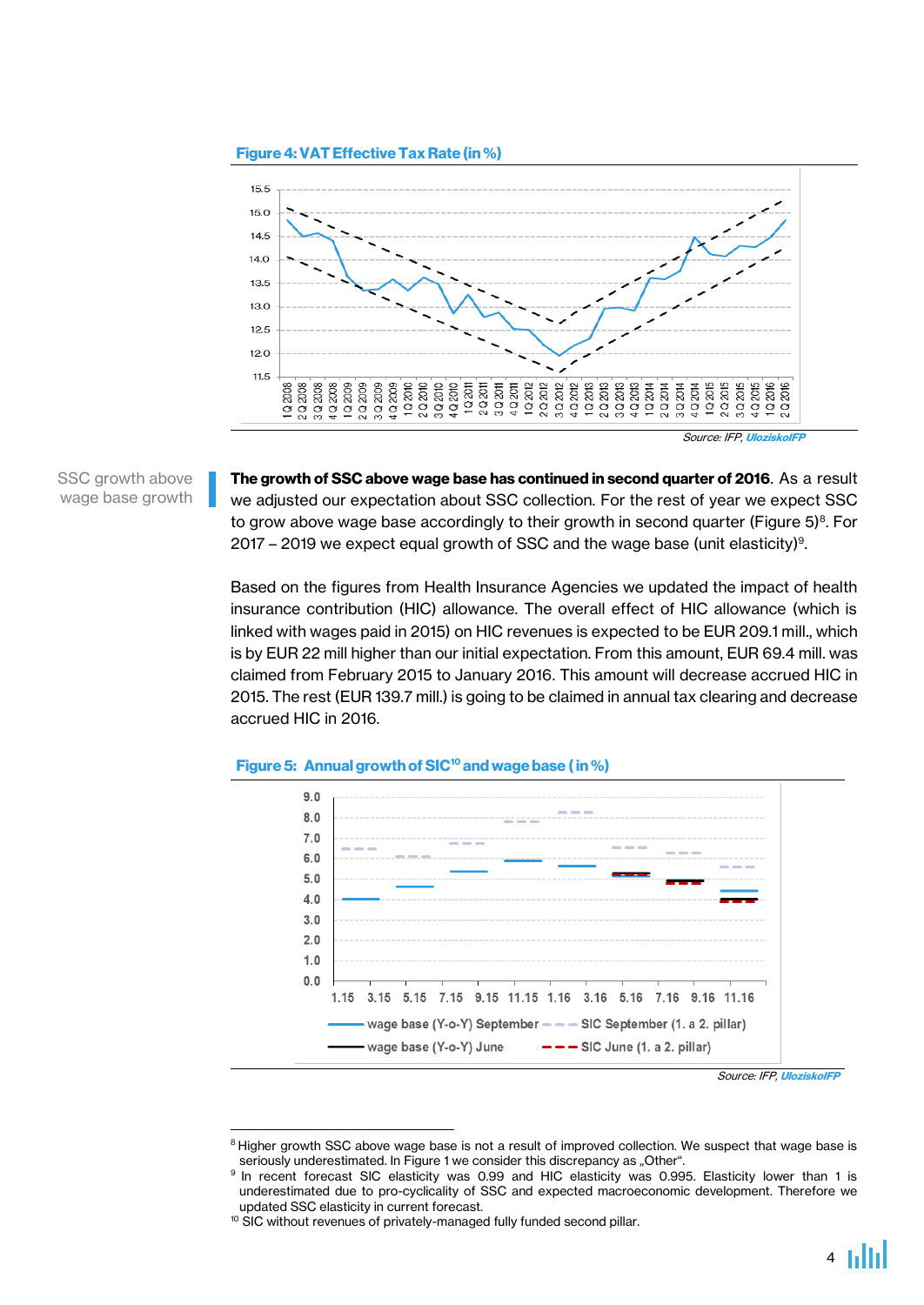



SSC growth above wage base growth The growth of SSC above wage base has continued in second quarter of 2016. As a result we adjusted our expectation about SSC collection. For the rest of year we expect SSC to grow above wage base accordingly to their growth in second quarter (Figure 5) $^{\text{\tiny{8}}}$ . For 2017 – 2019 we expect equal growth of SSC and the wage base (unit elasticity)<sup>9</sup> .

Based on the figures from Health Insurance Agencies we updated the impact of health insurance contribution (HIC) allowance. The overall effect of HIC allowance (which is linked with wages paid in 2015) on HIC revenues is expected to be EUR 209.1 mill., which is by EUR 22 mill higher than our initial expectation. From this amount, EUR 69.4 mill. was claimed from February 2015 to January 2016. This amount will decrease accrued HIC in 2015. The rest (EUR 139.7 mill.) is going to be claimed in annual tax clearing and decrease accrued HIC in 2016.



#### Figure 5: Annual growth of SIC<sup>10</sup> and wage base (in %)

**.** 

Source: IFP, [UloziskoIFP](http://ulozisko.institutfinancnejpolitiky.sk/?file=VpDP%252FVpDP_tables_Sep2016.xlsx)

<sup>&</sup>lt;sup>8</sup> Higher growth SSC above wage base is not a result of improved collection. We suspect that wage base is seriously underestimated. In Figure 1 we consider this discrepancy as "Other".

<sup>&</sup>lt;sup>9</sup> In recent forecast SIC elasticity was 0.99 and HIC elasticity was 0.995. Elasticity lower than 1 is underestimated due to pro-cyclicality of SSC and expected macroeconomic development. Therefore we updated SSC elasticity in current forecast.

<sup>&</sup>lt;sup>10</sup> SIC without revenues of privately-managed fully funded second pillar.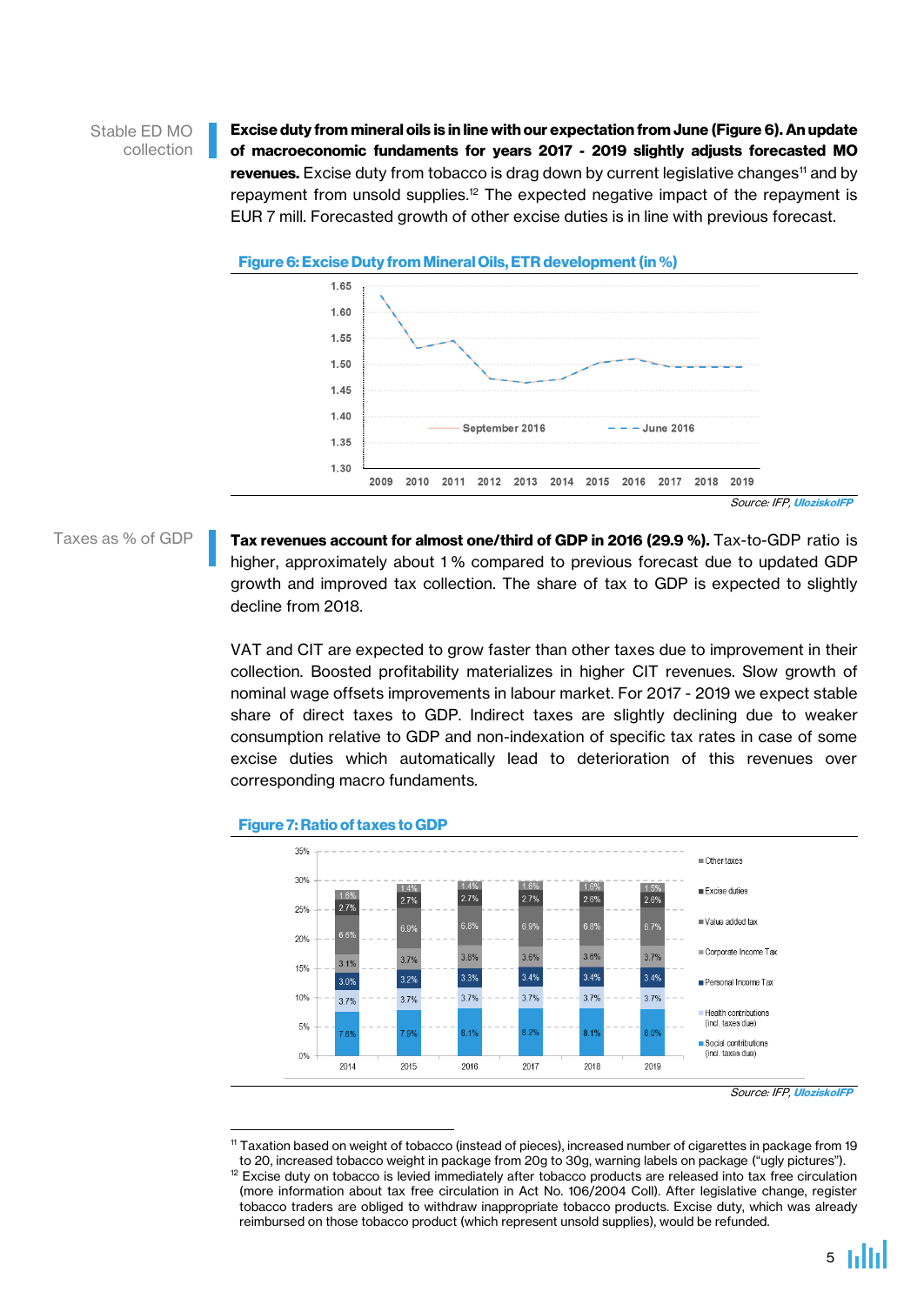## Stable ED MO collection

Excise duty from mineral oils is in line with our expectation from June (Figure 6). An update of macroeconomic fundaments for years 2017 - 2019 slightly adjusts forecasted MO revenues. Excise duty from tobacco is drag down by current legislative changes<sup>11</sup> and by repayment from unsold supplies.<sup>12</sup> The expected negative impact of the repayment is EUR 7 mill. Forecasted growth of other excise duties is in line with previous forecast.





Source: IFP, [UloziskoIFP](http://ulozisko.institutfinancnejpolitiky.sk/?file=VpDP%252FVpDP_tables_Sep2016.xlsx)

Taxes as % of GDP

Tax revenues account for almost one/third of GDP in 2016 (29.9 %). Tax-to-GDP ratio is higher, approximately about 1% compared to previous forecast due to updated GDP growth and improved tax collection. The share of tax to GDP is expected to slightly decline from 2018.

VAT and CIT are expected to grow faster than other taxes due to improvement in their collection. Boosted profitability materializes in higher CIT revenues. Slow growth of nominal wage offsets improvements in labour market. For 2017 - 2019 we expect stable share of direct taxes to GDP. Indirect taxes are slightly declining due to weaker consumption relative to GDP and non-indexation of specific tax rates in case of some excise duties which automatically lead to deterioration of this revenues over corresponding macro fundaments.



### Figure 7: Ratio of taxes to GDP

Source: IFP, [UloziskoIFP](http://ulozisko.institutfinancnejpolitiky.sk/?file=VpDP%252FVpDP_tables_Sep2016.xlsx)

**<sup>.</sup>** <sup>11</sup> Taxation based on weight of tobacco (instead of pieces), increased number of cigarettes in package from 19 to 20, increased tobacco weight in package from 20g to 30g, warning labels on package ("ugly pictures"). <sup>12</sup> Excise duty on tobacco is levied immediately after tobacco products are released into tax free circulation (more information about tax free circulation in Act No. 106/2004 Coll). After legislative change, register tobacco traders are obliged to withdraw inappropriate tobacco products. Excise duty, which was already reimbursed on those tobacco product (which represent unsold supplies), would be refunded.